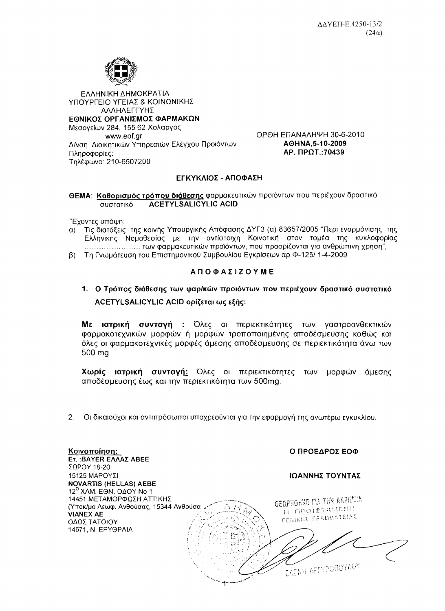

ΕΛΛΗΝΙΚΗ ΔΗΜΟΚΡΑΤΙΑ ΥΠΟΥΡΓΕΙΟ ΥΓΕΙΑΣ & ΚΟΙΝΩΝΙΚΗΣ ΑΛΛΗΛΕΓΓΥΗΣ ΕΘΝΙΚΟΣ ΟΡΓΑΝΙΣΜΟΣ ΦΑΡΜΑΚΩΝ Μεσογείων 284, 155 62 Χολαργός www.eof.ar Δ/νση Διοικητικών Υπηρεσιών Ελέγχου Προϊόντων Πληροφορίες: Τηλέφωνο: 210-6507200

ОРӨН ЕПАЛАЛНЧН 30-6-2010 AOHNA.5-10-2009 AP. ΠΡΩΤ.: 70439

## ΕΓΚΥΚΛΙΟΣ - ΑΠΟΦΑΣΗ

ΘΕΜΑ: Καθορισμός τρόπου διάθεσης φαρμακευτικών προϊόντων που περιέχουν δραστικό **ACETYLSALICYLIC ACID** συστατικό

"Έχοντες υπόψη:

- α) Τις διατάξεις της κοινής Υπουργικής Απόφασης ΔΥΓ3 (α) 83657/2005 "Περι εναρμόνισης της Ελληνικής Νομοθεσίας με την αντίστοιχη Κοινοτική στον τομέα της κυκλοφορίας
- β) Τη Γνωμάτευση του Επιστημονικού Συμβουλίου Εγκρίσεων αρ. Φ-125/ 1-4-2009

## **ΑΠΟΦΑΣΙΖΟΥΜΕ**

## 1. Ο Τρόπος διάθεσης των φαρ/κών προιόντων που περιέχουν δραστικό συστατικό ACETYLSALICYLIC ACID ορίζεται ως εξής:

Με ιατρική συνταγή : Όλες οι περιεκτικότητες των γαστροανθεκτικών φαρμακοτεχνικών μορφών ή μορφών τροποποιημένης αποδέσμευσης καθώς και όλες οι φαρμακοτεχνικές μορφές άμεσης αποδέσμευσης σε περιεκτικότητα άνω των 500 ma

Χωρίς ιατρική συνταγή: Όλες οι περιεκτικότητες των μορφών άμεσης αποδέσμευσης έως και την περιεκτικότητα των 500mg.

 $\overline{2}$ . Οι δικαιούχοι και αντιπρόσωποι υποχρεούνται για την εφαρμογή της ανωτέρω εγκυκλίου.

| Κοινοποίηση:<br><b>Ετ.: BAYER ΕΛΛΑΣ ABEE</b> | Ο ΠΡΟΕΔΡΟΣ ΕΟΦ                    |
|----------------------------------------------|-----------------------------------|
| $\Sigma$ ΩΡΟΥ 18-20                          |                                   |
| 15125 ΜΑΡΟΥΣΙ                                | ΙΩΑΝΝΗΣ ΤΟΥΝΤΑΣ                   |
| <b>NOVARTIS (HELLAS) AEBE</b>                |                                   |
| 12 <sup>0</sup> XAM. EON. OAOY No 1          |                                   |
| 14451 ΜΕΤΑΜΟΡΦΩΣΗ ΑΤΤΙΚΗΣ                    | OEQPHOHKE TIA THIN AKPIECIA       |
| (Υποκ/μα Λεωφ. Ανθούσας, 15344 Ανθούσα.      | H <b>NPOIZTAMENH</b>              |
| <b>VIANEX AE</b>                             | <b><i>ΓΕΝΙΚΗΣ ΓΡΑΜΜΑΤΕΙΑΣ</i></b> |
| ΟΔΟΣ ΤΑΤΟΙΟΥ                                 |                                   |
| 14671, N. EPYOPAIA                           |                                   |
|                                              |                                   |
|                                              |                                   |
|                                              |                                   |
|                                              |                                   |
|                                              | <b>EAENH APTYPONOYAOY</b>         |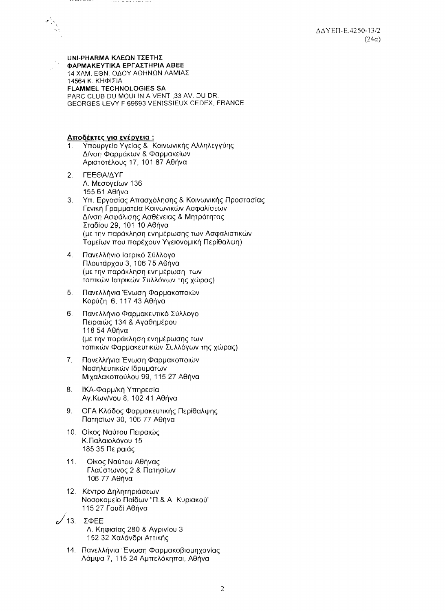**UNI-PHARMA ΚΛΕΩΝ ΤΣΕΤΗΣ** ΦΑΡΜΑΚΕΥΤΙΚΑ ΕΡΓΑΣΤΗΡΙΑ ΑΒΕΕ 14 ΧΛΜ. ΕΘΝ. ΟΔΟΥ ΑΘΗΝΩΝ ΛΑΜΙΑΣ 14564 Κ. ΚΗΦΙΣΙΑ **FLAMMEL TECHNOLOGIES SA** PARC CLUB DU MOULIN A VENT ,33 AV. DU DR. GEORGES LEVY F 69693 VENISSIEUX CEDEX, FRANCE

Αποδέκτες για ενέργεια:

- Υπουργείο Υγείας & Κοινωνικής Αλληλεγγύης  $\mathbf{1}$ . Δ/νση Φαρμάκων & Φαρμακείων Αριστοτέλους 17, 101 87 Αθήνα
- ΓΕΕΘΑ/ΔΥΓ  $2.$ Λ. Μεσονείων 136 155 61 Aθήνα
- $3.$ Υπ. Εργασίας Απασχόλησης & Κοινωνικής Προστασίας Γενική Γραμματεία Κοινωνικών Ασφαλίσεων Δ/νση Ασφάλισης Ασθένειας & Μητρότητας Σταδίου 29, 101 10 Αθήνα (με την παράκληση ενημέρωσης των Ασφαλιστικών Ταμείων που παρέχουν Υγειονομική Περίθαλψη)
- $4.$ Πανελλήνιο Ιατρικό Σύλλονο Πλουτάρχου 3, 106 75 Αθήνα (με την παράκληση ενημέρωση των τοπικών Ιατρικών Συλλόγων της χώρας).
- 5. Πανελλήνια Ένωση Φαρμακοποιών Κορύζη 6, 117 43 Αθήνα
- Πανελλήνιο Φαρμακευτικό Σύλλογο 6. Πειραιώς 134 & Αγαθημέρου 118 54 Αθήνα (με την παράκληση ενημέρωσης των τοπικών Φαρμακευτικών Συλλόγων της χώρας)
- $7<sub>1</sub>$ Πανελλήνια Ένωση Φαρμακοποιών Νοσηλευτικών Ιδρυμάτων Μιχαλακοπούλου 99, 115 27 Αθήνα
- 8. ΙΚΑ-Φαρμ/κή Υπηρεσία Αγ. Κων/νου 8, 102 41 Αθήνα
- 9. ΟΓΑ Κλάδος Φαρμακευτικής Περίθαλψης Πατησίων 30, 106 77 Αθήνα
- 10. Οίκος Ναύτου Πειραιώς Κ.Παλαιολόνου 15 185 35 Πειραιάς
- $11.$ Οίκος Ναύτου Αθήνας Γλαύστωνος 2 & Πατησίων 106 77 Αθήνα
- 12. Κέντρο Δηλητηριάσεων Νοσοκομείο Παίδων "Π.& Α. Κυριακού" 115 27 Γουδί Αθήνα

 $\sqrt{13}$ .  $\Sigma \Phi EE$ Λ. Κηφισίας 280 & Αγρινίου 3 152 32 Χαλάνδρι Αττικής

14. Πανελλήνια Ένωση Φαρμακοβιομηχανίας Λάμψα 7, 115 24 Αμπελόκηποι, Αθήνα